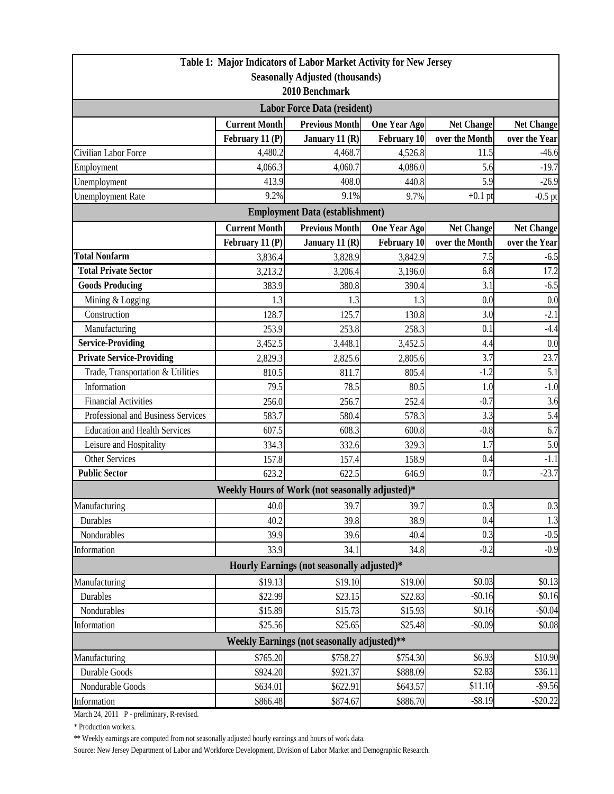| <b>Seasonally Adjusted (thousands)</b><br>2010 Benchmark<br><b>Labor Force Data (resident)</b><br><b>Current Month</b><br><b>Previous Month</b><br><b>Net Change</b><br><b>Net Change</b><br><b>One Year Ago</b><br>over the Month<br>February 11 (P)<br><b>February 10</b><br>over the Year<br>January 11 $(R)$<br>11.5<br>4,480.2<br>4,468.7<br>$-46.6$<br>4,526.8<br>5.6<br>$-19.7$<br>4,086.0<br>4,066.3<br>4,060.7<br>5.9<br>413.9<br>408.0<br>440.8<br>Unemployment<br>$-26.9$<br>9.2%<br>9.1%<br>9.7%<br>$+0.1$ pt<br><b>Unemployment Rate</b><br>$-0.5$ pt<br><b>Employment Data (establishment)</b><br><b>Current Month</b><br><b>Previous Month</b><br><b>Net Change</b><br><b>One Year Ago</b><br><b>Net Change</b><br>over the Month<br>over the Year<br>February 11 (P)<br>January 11 (R)<br><b>February 10</b><br><b>Total Nonfarm</b><br>7.5<br>3,836.4<br>3,828.9<br>3,842.9<br>$-6.5$<br>17.2<br><b>Total Private Sector</b><br>6.8<br>3,213.2<br>3,206.4<br>3,196.0<br><b>Goods Producing</b><br>3.1<br>$-6.5$<br>383.9<br>380.8<br>390.4<br>0.0<br>0.0<br>Mining & Logging<br>1.3<br>1.3<br>1.3<br>$-2.1$<br>Construction<br>3.0<br>128.7<br>125.7<br>130.8<br>$-4.4$<br>Manufacturing<br>0.1<br>253.9<br>253.8<br>258.3<br><b>Service-Providing</b><br>0.0<br>4.4<br>3,452.5<br>3,448.1<br>3,452.5<br><b>Private Service-Providing</b><br>3.7<br>23.7<br>2,829.3<br>2,825.6<br>2,805.6<br>5.1<br>Trade, Transportation & Utilities<br>$-1.2$<br>810.5<br>811.7<br>805.4<br>Information<br>$-1.0$<br>79.5<br>78.5<br>80.5<br>1.0<br><b>Financial Activities</b><br>3.6<br>$-0.7$<br>256.0<br>256.7<br>252.4<br>3.3<br>5.4<br>Professional and Business Services<br>583.7<br>580.4<br>578.3<br><b>Education and Health Services</b><br>6.7<br>$-0.8$<br>607.5<br>608.3<br>600.8<br>5.0<br>Leisure and Hospitality<br>329.3<br>1.7<br>334.3<br>332.6<br><b>Other Services</b><br>0.4<br>$-1.1$<br>157.8<br>157.4<br>158.9<br>0.7<br><b>Public Sector</b><br>$-23.7$<br>623.2<br>622.5<br>646.9<br>Weekly Hours of Work (not seasonally adjusted)*<br>39.7<br>40.0<br>0.3<br>39.7<br>0.4<br>1.3<br>40.2<br>39.8<br>38.9<br>Durables<br>0.3<br>$-0.5$<br>Nondurables<br>39.9<br>39.6<br>40.4<br>$-0.2$<br>33.9<br>$-0.9$<br>34.8<br>34.1<br>Hourly Earnings (not seasonally adjusted)*<br>\$19.10<br>\$0.03<br>\$19.13<br>\$19.00<br>\$0.13<br>Manufacturing<br>\$22.99<br>\$23.15<br>\$22.83<br>$-$0.16$<br>\$0.16<br>Durables<br>\$15.89<br>\$15.73<br>\$0.16<br>$-$0.04$<br>Nondurables<br>\$15.93<br>$-$0.09$<br>\$0.08<br>\$25.56<br>\$25.65<br>\$25.48<br>Information<br><b>Weekly Earnings (not seasonally adjusted)**</b> | Table 1: Major Indicators of Labor Market Activity for New Jersey |  |  |  |  |  |  |  |  |
|--------------------------------------------------------------------------------------------------------------------------------------------------------------------------------------------------------------------------------------------------------------------------------------------------------------------------------------------------------------------------------------------------------------------------------------------------------------------------------------------------------------------------------------------------------------------------------------------------------------------------------------------------------------------------------------------------------------------------------------------------------------------------------------------------------------------------------------------------------------------------------------------------------------------------------------------------------------------------------------------------------------------------------------------------------------------------------------------------------------------------------------------------------------------------------------------------------------------------------------------------------------------------------------------------------------------------------------------------------------------------------------------------------------------------------------------------------------------------------------------------------------------------------------------------------------------------------------------------------------------------------------------------------------------------------------------------------------------------------------------------------------------------------------------------------------------------------------------------------------------------------------------------------------------------------------------------------------------------------------------------------------------------------------------------------------------------------------------------------------------------------------------------------------------------------------------------------------------------------------------------------------------------------------------------------------------------------------------------------------------------------------------------------------------------------------------------------------------------------------------------------------------------------------------------------------------------------------------------------------------------------------------------|-------------------------------------------------------------------|--|--|--|--|--|--|--|--|
| $0.3\,$                                                                                                                                                                                                                                                                                                                                                                                                                                                                                                                                                                                                                                                                                                                                                                                                                                                                                                                                                                                                                                                                                                                                                                                                                                                                                                                                                                                                                                                                                                                                                                                                                                                                                                                                                                                                                                                                                                                                                                                                                                                                                                                                                                                                                                                                                                                                                                                                                                                                                                                                                                                                                                          |                                                                   |  |  |  |  |  |  |  |  |
|                                                                                                                                                                                                                                                                                                                                                                                                                                                                                                                                                                                                                                                                                                                                                                                                                                                                                                                                                                                                                                                                                                                                                                                                                                                                                                                                                                                                                                                                                                                                                                                                                                                                                                                                                                                                                                                                                                                                                                                                                                                                                                                                                                                                                                                                                                                                                                                                                                                                                                                                                                                                                                                  |                                                                   |  |  |  |  |  |  |  |  |
|                                                                                                                                                                                                                                                                                                                                                                                                                                                                                                                                                                                                                                                                                                                                                                                                                                                                                                                                                                                                                                                                                                                                                                                                                                                                                                                                                                                                                                                                                                                                                                                                                                                                                                                                                                                                                                                                                                                                                                                                                                                                                                                                                                                                                                                                                                                                                                                                                                                                                                                                                                                                                                                  |                                                                   |  |  |  |  |  |  |  |  |
|                                                                                                                                                                                                                                                                                                                                                                                                                                                                                                                                                                                                                                                                                                                                                                                                                                                                                                                                                                                                                                                                                                                                                                                                                                                                                                                                                                                                                                                                                                                                                                                                                                                                                                                                                                                                                                                                                                                                                                                                                                                                                                                                                                                                                                                                                                                                                                                                                                                                                                                                                                                                                                                  |                                                                   |  |  |  |  |  |  |  |  |
|                                                                                                                                                                                                                                                                                                                                                                                                                                                                                                                                                                                                                                                                                                                                                                                                                                                                                                                                                                                                                                                                                                                                                                                                                                                                                                                                                                                                                                                                                                                                                                                                                                                                                                                                                                                                                                                                                                                                                                                                                                                                                                                                                                                                                                                                                                                                                                                                                                                                                                                                                                                                                                                  |                                                                   |  |  |  |  |  |  |  |  |
|                                                                                                                                                                                                                                                                                                                                                                                                                                                                                                                                                                                                                                                                                                                                                                                                                                                                                                                                                                                                                                                                                                                                                                                                                                                                                                                                                                                                                                                                                                                                                                                                                                                                                                                                                                                                                                                                                                                                                                                                                                                                                                                                                                                                                                                                                                                                                                                                                                                                                                                                                                                                                                                  | Civilian Labor Force                                              |  |  |  |  |  |  |  |  |
|                                                                                                                                                                                                                                                                                                                                                                                                                                                                                                                                                                                                                                                                                                                                                                                                                                                                                                                                                                                                                                                                                                                                                                                                                                                                                                                                                                                                                                                                                                                                                                                                                                                                                                                                                                                                                                                                                                                                                                                                                                                                                                                                                                                                                                                                                                                                                                                                                                                                                                                                                                                                                                                  | Employment                                                        |  |  |  |  |  |  |  |  |
|                                                                                                                                                                                                                                                                                                                                                                                                                                                                                                                                                                                                                                                                                                                                                                                                                                                                                                                                                                                                                                                                                                                                                                                                                                                                                                                                                                                                                                                                                                                                                                                                                                                                                                                                                                                                                                                                                                                                                                                                                                                                                                                                                                                                                                                                                                                                                                                                                                                                                                                                                                                                                                                  |                                                                   |  |  |  |  |  |  |  |  |
|                                                                                                                                                                                                                                                                                                                                                                                                                                                                                                                                                                                                                                                                                                                                                                                                                                                                                                                                                                                                                                                                                                                                                                                                                                                                                                                                                                                                                                                                                                                                                                                                                                                                                                                                                                                                                                                                                                                                                                                                                                                                                                                                                                                                                                                                                                                                                                                                                                                                                                                                                                                                                                                  |                                                                   |  |  |  |  |  |  |  |  |
|                                                                                                                                                                                                                                                                                                                                                                                                                                                                                                                                                                                                                                                                                                                                                                                                                                                                                                                                                                                                                                                                                                                                                                                                                                                                                                                                                                                                                                                                                                                                                                                                                                                                                                                                                                                                                                                                                                                                                                                                                                                                                                                                                                                                                                                                                                                                                                                                                                                                                                                                                                                                                                                  |                                                                   |  |  |  |  |  |  |  |  |
|                                                                                                                                                                                                                                                                                                                                                                                                                                                                                                                                                                                                                                                                                                                                                                                                                                                                                                                                                                                                                                                                                                                                                                                                                                                                                                                                                                                                                                                                                                                                                                                                                                                                                                                                                                                                                                                                                                                                                                                                                                                                                                                                                                                                                                                                                                                                                                                                                                                                                                                                                                                                                                                  |                                                                   |  |  |  |  |  |  |  |  |
|                                                                                                                                                                                                                                                                                                                                                                                                                                                                                                                                                                                                                                                                                                                                                                                                                                                                                                                                                                                                                                                                                                                                                                                                                                                                                                                                                                                                                                                                                                                                                                                                                                                                                                                                                                                                                                                                                                                                                                                                                                                                                                                                                                                                                                                                                                                                                                                                                                                                                                                                                                                                                                                  |                                                                   |  |  |  |  |  |  |  |  |
|                                                                                                                                                                                                                                                                                                                                                                                                                                                                                                                                                                                                                                                                                                                                                                                                                                                                                                                                                                                                                                                                                                                                                                                                                                                                                                                                                                                                                                                                                                                                                                                                                                                                                                                                                                                                                                                                                                                                                                                                                                                                                                                                                                                                                                                                                                                                                                                                                                                                                                                                                                                                                                                  |                                                                   |  |  |  |  |  |  |  |  |
|                                                                                                                                                                                                                                                                                                                                                                                                                                                                                                                                                                                                                                                                                                                                                                                                                                                                                                                                                                                                                                                                                                                                                                                                                                                                                                                                                                                                                                                                                                                                                                                                                                                                                                                                                                                                                                                                                                                                                                                                                                                                                                                                                                                                                                                                                                                                                                                                                                                                                                                                                                                                                                                  |                                                                   |  |  |  |  |  |  |  |  |
|                                                                                                                                                                                                                                                                                                                                                                                                                                                                                                                                                                                                                                                                                                                                                                                                                                                                                                                                                                                                                                                                                                                                                                                                                                                                                                                                                                                                                                                                                                                                                                                                                                                                                                                                                                                                                                                                                                                                                                                                                                                                                                                                                                                                                                                                                                                                                                                                                                                                                                                                                                                                                                                  |                                                                   |  |  |  |  |  |  |  |  |
|                                                                                                                                                                                                                                                                                                                                                                                                                                                                                                                                                                                                                                                                                                                                                                                                                                                                                                                                                                                                                                                                                                                                                                                                                                                                                                                                                                                                                                                                                                                                                                                                                                                                                                                                                                                                                                                                                                                                                                                                                                                                                                                                                                                                                                                                                                                                                                                                                                                                                                                                                                                                                                                  |                                                                   |  |  |  |  |  |  |  |  |
|                                                                                                                                                                                                                                                                                                                                                                                                                                                                                                                                                                                                                                                                                                                                                                                                                                                                                                                                                                                                                                                                                                                                                                                                                                                                                                                                                                                                                                                                                                                                                                                                                                                                                                                                                                                                                                                                                                                                                                                                                                                                                                                                                                                                                                                                                                                                                                                                                                                                                                                                                                                                                                                  |                                                                   |  |  |  |  |  |  |  |  |
|                                                                                                                                                                                                                                                                                                                                                                                                                                                                                                                                                                                                                                                                                                                                                                                                                                                                                                                                                                                                                                                                                                                                                                                                                                                                                                                                                                                                                                                                                                                                                                                                                                                                                                                                                                                                                                                                                                                                                                                                                                                                                                                                                                                                                                                                                                                                                                                                                                                                                                                                                                                                                                                  |                                                                   |  |  |  |  |  |  |  |  |
|                                                                                                                                                                                                                                                                                                                                                                                                                                                                                                                                                                                                                                                                                                                                                                                                                                                                                                                                                                                                                                                                                                                                                                                                                                                                                                                                                                                                                                                                                                                                                                                                                                                                                                                                                                                                                                                                                                                                                                                                                                                                                                                                                                                                                                                                                                                                                                                                                                                                                                                                                                                                                                                  |                                                                   |  |  |  |  |  |  |  |  |
|                                                                                                                                                                                                                                                                                                                                                                                                                                                                                                                                                                                                                                                                                                                                                                                                                                                                                                                                                                                                                                                                                                                                                                                                                                                                                                                                                                                                                                                                                                                                                                                                                                                                                                                                                                                                                                                                                                                                                                                                                                                                                                                                                                                                                                                                                                                                                                                                                                                                                                                                                                                                                                                  |                                                                   |  |  |  |  |  |  |  |  |
|                                                                                                                                                                                                                                                                                                                                                                                                                                                                                                                                                                                                                                                                                                                                                                                                                                                                                                                                                                                                                                                                                                                                                                                                                                                                                                                                                                                                                                                                                                                                                                                                                                                                                                                                                                                                                                                                                                                                                                                                                                                                                                                                                                                                                                                                                                                                                                                                                                                                                                                                                                                                                                                  |                                                                   |  |  |  |  |  |  |  |  |
|                                                                                                                                                                                                                                                                                                                                                                                                                                                                                                                                                                                                                                                                                                                                                                                                                                                                                                                                                                                                                                                                                                                                                                                                                                                                                                                                                                                                                                                                                                                                                                                                                                                                                                                                                                                                                                                                                                                                                                                                                                                                                                                                                                                                                                                                                                                                                                                                                                                                                                                                                                                                                                                  |                                                                   |  |  |  |  |  |  |  |  |
|                                                                                                                                                                                                                                                                                                                                                                                                                                                                                                                                                                                                                                                                                                                                                                                                                                                                                                                                                                                                                                                                                                                                                                                                                                                                                                                                                                                                                                                                                                                                                                                                                                                                                                                                                                                                                                                                                                                                                                                                                                                                                                                                                                                                                                                                                                                                                                                                                                                                                                                                                                                                                                                  |                                                                   |  |  |  |  |  |  |  |  |
|                                                                                                                                                                                                                                                                                                                                                                                                                                                                                                                                                                                                                                                                                                                                                                                                                                                                                                                                                                                                                                                                                                                                                                                                                                                                                                                                                                                                                                                                                                                                                                                                                                                                                                                                                                                                                                                                                                                                                                                                                                                                                                                                                                                                                                                                                                                                                                                                                                                                                                                                                                                                                                                  |                                                                   |  |  |  |  |  |  |  |  |
|                                                                                                                                                                                                                                                                                                                                                                                                                                                                                                                                                                                                                                                                                                                                                                                                                                                                                                                                                                                                                                                                                                                                                                                                                                                                                                                                                                                                                                                                                                                                                                                                                                                                                                                                                                                                                                                                                                                                                                                                                                                                                                                                                                                                                                                                                                                                                                                                                                                                                                                                                                                                                                                  |                                                                   |  |  |  |  |  |  |  |  |
|                                                                                                                                                                                                                                                                                                                                                                                                                                                                                                                                                                                                                                                                                                                                                                                                                                                                                                                                                                                                                                                                                                                                                                                                                                                                                                                                                                                                                                                                                                                                                                                                                                                                                                                                                                                                                                                                                                                                                                                                                                                                                                                                                                                                                                                                                                                                                                                                                                                                                                                                                                                                                                                  |                                                                   |  |  |  |  |  |  |  |  |
|                                                                                                                                                                                                                                                                                                                                                                                                                                                                                                                                                                                                                                                                                                                                                                                                                                                                                                                                                                                                                                                                                                                                                                                                                                                                                                                                                                                                                                                                                                                                                                                                                                                                                                                                                                                                                                                                                                                                                                                                                                                                                                                                                                                                                                                                                                                                                                                                                                                                                                                                                                                                                                                  |                                                                   |  |  |  |  |  |  |  |  |
|                                                                                                                                                                                                                                                                                                                                                                                                                                                                                                                                                                                                                                                                                                                                                                                                                                                                                                                                                                                                                                                                                                                                                                                                                                                                                                                                                                                                                                                                                                                                                                                                                                                                                                                                                                                                                                                                                                                                                                                                                                                                                                                                                                                                                                                                                                                                                                                                                                                                                                                                                                                                                                                  |                                                                   |  |  |  |  |  |  |  |  |
|                                                                                                                                                                                                                                                                                                                                                                                                                                                                                                                                                                                                                                                                                                                                                                                                                                                                                                                                                                                                                                                                                                                                                                                                                                                                                                                                                                                                                                                                                                                                                                                                                                                                                                                                                                                                                                                                                                                                                                                                                                                                                                                                                                                                                                                                                                                                                                                                                                                                                                                                                                                                                                                  |                                                                   |  |  |  |  |  |  |  |  |
|                                                                                                                                                                                                                                                                                                                                                                                                                                                                                                                                                                                                                                                                                                                                                                                                                                                                                                                                                                                                                                                                                                                                                                                                                                                                                                                                                                                                                                                                                                                                                                                                                                                                                                                                                                                                                                                                                                                                                                                                                                                                                                                                                                                                                                                                                                                                                                                                                                                                                                                                                                                                                                                  | Manufacturing                                                     |  |  |  |  |  |  |  |  |
|                                                                                                                                                                                                                                                                                                                                                                                                                                                                                                                                                                                                                                                                                                                                                                                                                                                                                                                                                                                                                                                                                                                                                                                                                                                                                                                                                                                                                                                                                                                                                                                                                                                                                                                                                                                                                                                                                                                                                                                                                                                                                                                                                                                                                                                                                                                                                                                                                                                                                                                                                                                                                                                  |                                                                   |  |  |  |  |  |  |  |  |
|                                                                                                                                                                                                                                                                                                                                                                                                                                                                                                                                                                                                                                                                                                                                                                                                                                                                                                                                                                                                                                                                                                                                                                                                                                                                                                                                                                                                                                                                                                                                                                                                                                                                                                                                                                                                                                                                                                                                                                                                                                                                                                                                                                                                                                                                                                                                                                                                                                                                                                                                                                                                                                                  |                                                                   |  |  |  |  |  |  |  |  |
|                                                                                                                                                                                                                                                                                                                                                                                                                                                                                                                                                                                                                                                                                                                                                                                                                                                                                                                                                                                                                                                                                                                                                                                                                                                                                                                                                                                                                                                                                                                                                                                                                                                                                                                                                                                                                                                                                                                                                                                                                                                                                                                                                                                                                                                                                                                                                                                                                                                                                                                                                                                                                                                  | Information                                                       |  |  |  |  |  |  |  |  |
|                                                                                                                                                                                                                                                                                                                                                                                                                                                                                                                                                                                                                                                                                                                                                                                                                                                                                                                                                                                                                                                                                                                                                                                                                                                                                                                                                                                                                                                                                                                                                                                                                                                                                                                                                                                                                                                                                                                                                                                                                                                                                                                                                                                                                                                                                                                                                                                                                                                                                                                                                                                                                                                  |                                                                   |  |  |  |  |  |  |  |  |
|                                                                                                                                                                                                                                                                                                                                                                                                                                                                                                                                                                                                                                                                                                                                                                                                                                                                                                                                                                                                                                                                                                                                                                                                                                                                                                                                                                                                                                                                                                                                                                                                                                                                                                                                                                                                                                                                                                                                                                                                                                                                                                                                                                                                                                                                                                                                                                                                                                                                                                                                                                                                                                                  |                                                                   |  |  |  |  |  |  |  |  |
|                                                                                                                                                                                                                                                                                                                                                                                                                                                                                                                                                                                                                                                                                                                                                                                                                                                                                                                                                                                                                                                                                                                                                                                                                                                                                                                                                                                                                                                                                                                                                                                                                                                                                                                                                                                                                                                                                                                                                                                                                                                                                                                                                                                                                                                                                                                                                                                                                                                                                                                                                                                                                                                  |                                                                   |  |  |  |  |  |  |  |  |
|                                                                                                                                                                                                                                                                                                                                                                                                                                                                                                                                                                                                                                                                                                                                                                                                                                                                                                                                                                                                                                                                                                                                                                                                                                                                                                                                                                                                                                                                                                                                                                                                                                                                                                                                                                                                                                                                                                                                                                                                                                                                                                                                                                                                                                                                                                                                                                                                                                                                                                                                                                                                                                                  |                                                                   |  |  |  |  |  |  |  |  |
|                                                                                                                                                                                                                                                                                                                                                                                                                                                                                                                                                                                                                                                                                                                                                                                                                                                                                                                                                                                                                                                                                                                                                                                                                                                                                                                                                                                                                                                                                                                                                                                                                                                                                                                                                                                                                                                                                                                                                                                                                                                                                                                                                                                                                                                                                                                                                                                                                                                                                                                                                                                                                                                  |                                                                   |  |  |  |  |  |  |  |  |
|                                                                                                                                                                                                                                                                                                                                                                                                                                                                                                                                                                                                                                                                                                                                                                                                                                                                                                                                                                                                                                                                                                                                                                                                                                                                                                                                                                                                                                                                                                                                                                                                                                                                                                                                                                                                                                                                                                                                                                                                                                                                                                                                                                                                                                                                                                                                                                                                                                                                                                                                                                                                                                                  |                                                                   |  |  |  |  |  |  |  |  |
| \$6.93<br>\$765.20<br>\$10.90<br>\$758.27<br>\$754.30                                                                                                                                                                                                                                                                                                                                                                                                                                                                                                                                                                                                                                                                                                                                                                                                                                                                                                                                                                                                                                                                                                                                                                                                                                                                                                                                                                                                                                                                                                                                                                                                                                                                                                                                                                                                                                                                                                                                                                                                                                                                                                                                                                                                                                                                                                                                                                                                                                                                                                                                                                                            | Manufacturing                                                     |  |  |  |  |  |  |  |  |
| \$2.83<br>\$36.11<br>Durable Goods<br>\$924.20<br>\$921.37<br>\$888.09                                                                                                                                                                                                                                                                                                                                                                                                                                                                                                                                                                                                                                                                                                                                                                                                                                                                                                                                                                                                                                                                                                                                                                                                                                                                                                                                                                                                                                                                                                                                                                                                                                                                                                                                                                                                                                                                                                                                                                                                                                                                                                                                                                                                                                                                                                                                                                                                                                                                                                                                                                           |                                                                   |  |  |  |  |  |  |  |  |
| \$11.10<br>$-$9.56$<br>Nondurable Goods<br>\$634.01<br>\$622.91<br>\$643.57                                                                                                                                                                                                                                                                                                                                                                                                                                                                                                                                                                                                                                                                                                                                                                                                                                                                                                                                                                                                                                                                                                                                                                                                                                                                                                                                                                                                                                                                                                                                                                                                                                                                                                                                                                                                                                                                                                                                                                                                                                                                                                                                                                                                                                                                                                                                                                                                                                                                                                                                                                      |                                                                   |  |  |  |  |  |  |  |  |
| \$886.70<br>$-$ \$8.19<br>$-$20.22$<br>\$866.48<br>\$874.67                                                                                                                                                                                                                                                                                                                                                                                                                                                                                                                                                                                                                                                                                                                                                                                                                                                                                                                                                                                                                                                                                                                                                                                                                                                                                                                                                                                                                                                                                                                                                                                                                                                                                                                                                                                                                                                                                                                                                                                                                                                                                                                                                                                                                                                                                                                                                                                                                                                                                                                                                                                      | Information                                                       |  |  |  |  |  |  |  |  |

March 24, 2011 P - preliminary, R-revised.

\* Production workers.

\*\* Weekly earnings are computed from not seasonally adjusted hourly earnings and hours of work data.

Source: New Jersey Department of Labor and Workforce Development, Division of Labor Market and Demographic Research.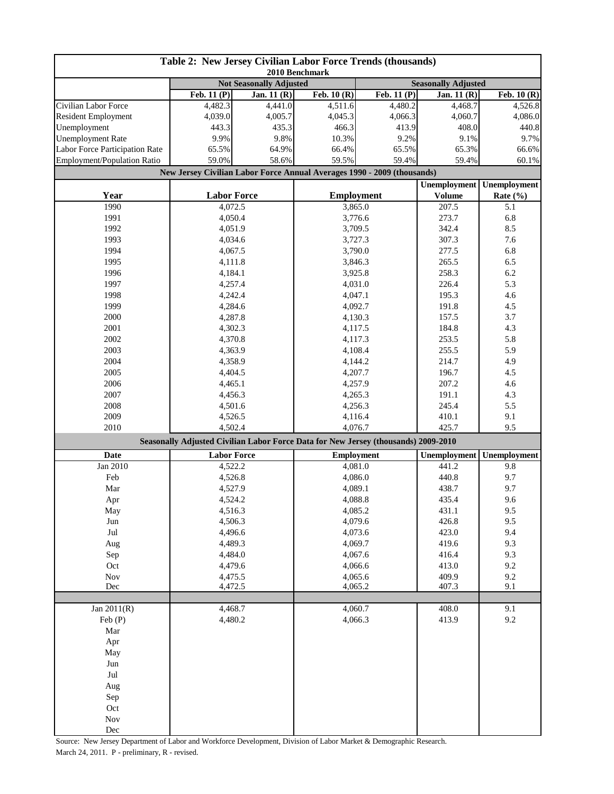| Table 2: New Jersey Civilian Labor Force Trends (thousands)<br>2010 Benchmark |                                                                                                       |              |                                                              |                    |                                      |                                     |
|-------------------------------------------------------------------------------|-------------------------------------------------------------------------------------------------------|--------------|--------------------------------------------------------------|--------------------|--------------------------------------|-------------------------------------|
|                                                                               |                                                                                                       |              | <b>Not Seasonally Adjusted</b><br><b>Seasonally Adjusted</b> |                    |                                      |                                     |
|                                                                               | Feb. $11(P)$                                                                                          | Jan. $11(R)$ | $\overline{\text{Feb. 10}}$ (R)                              | Feb. $11(P)$       | Jan. $11(R)$                         | $\overline{\text{Feb. 10}}$ (R)     |
| Civilian Labor Force                                                          | 4,482.3                                                                                               | 4,441.0      | 4,511.6                                                      | 4,480.2            | 4,468.7                              | 4,526.8                             |
| <b>Resident Employment</b>                                                    | 4,039.0                                                                                               | 4,005.7      | 4,045.3                                                      | 4,066.3            | 4,060.7                              | 4,086.0                             |
| Unemployment                                                                  | 443.3                                                                                                 | 435.3        | 466.3                                                        | 413.9              | 408.0                                | 440.8                               |
| <b>Unemployment Rate</b>                                                      | 9.9%                                                                                                  | 9.8%         | 10.3%                                                        | 9.2%               | 9.1%                                 | 9.7%                                |
| Labor Force Participation Rate                                                | 65.5%                                                                                                 | 64.9%        | 66.4%                                                        | 65.5%              | 65.3%                                | 66.6%                               |
| Employment/Population Ratio                                                   | 59.0%                                                                                                 | 58.6%        | 59.5%                                                        | 59.4%              | 59.4%                                | 60.1%                               |
|                                                                               | New Jersey Civilian Labor Force Annual Averages 1990 - 2009 (thousands)                               |              |                                                              |                    |                                      |                                     |
| Year                                                                          | <b>Labor Force</b>                                                                                    |              | <b>Employment</b>                                            |                    | <b>Unemployment</b><br><b>Volume</b> | <b>Unemployment</b><br>Rate $(\% )$ |
| 1990                                                                          | 4,072.5                                                                                               |              |                                                              | 3,865.0            | 207.5                                | 5.1                                 |
| 1991                                                                          | 4,050.4                                                                                               |              | 3,776.6                                                      |                    | 273.7                                | 6.8                                 |
| 1992                                                                          | 4,051.9                                                                                               |              |                                                              | 3,709.5            |                                      | 8.5                                 |
| 1993                                                                          | 4,034.6                                                                                               |              |                                                              | 3,727.3            |                                      | 7.6                                 |
| 1994                                                                          | 4,067.5                                                                                               |              | 3,790.0                                                      |                    | 277.5                                | 6.8                                 |
| 1995                                                                          | 4,111.8                                                                                               |              | 3,846.3                                                      |                    | 265.5                                | 6.5                                 |
| 1996                                                                          | 4,184.1                                                                                               |              | 3,925.8                                                      |                    | 258.3                                | 6.2                                 |
| 1997                                                                          | 4,257.4                                                                                               |              | 4,031.0                                                      |                    | 226.4                                | 5.3                                 |
| 1998                                                                          | 4,242.4                                                                                               |              | 4,047.1                                                      |                    | 195.3                                | 4.6                                 |
| 1999                                                                          | 4,284.6                                                                                               |              | 4,092.7                                                      |                    | 191.8                                | 4.5                                 |
| 2000                                                                          | 4,287.8                                                                                               |              | 4,130.3                                                      |                    | 157.5                                | 3.7                                 |
| 2001                                                                          | 4,302.3                                                                                               |              | 4,117.5                                                      |                    | 184.8                                | 4.3                                 |
| 2002                                                                          | 4,370.8                                                                                               |              | 4,117.3                                                      |                    | 253.5                                | 5.8                                 |
| 2003                                                                          | 4,363.9                                                                                               |              | 4,108.4                                                      |                    | 255.5<br>214.7                       | 5.9                                 |
| 2004                                                                          | 4,358.9                                                                                               |              |                                                              | 4,144.2            |                                      | 4.9                                 |
| 2005                                                                          | 4,404.5                                                                                               |              | 4,207.7                                                      |                    | 196.7                                | 4.5                                 |
| 2006                                                                          | 4,465.1                                                                                               |              | 4,257.9                                                      |                    | 207.2<br>191.1                       | 4.6                                 |
| 2007                                                                          | 4,456.3                                                                                               |              |                                                              | 4,265.3<br>4,256.3 |                                      | 4.3                                 |
| 2008                                                                          | 4,501.6                                                                                               |              |                                                              |                    | 245.4                                | 5.5                                 |
| 2009                                                                          | 4,526.5<br>4,116.4<br>4,076.7                                                                         |              |                                                              | 410.1<br>425.7     | 9.1<br>9.5                           |                                     |
|                                                                               | 2010<br>4,502.4<br>Seasonally Adjusted Civilian Labor Force Data for New Jersey (thousands) 2009-2010 |              |                                                              |                    |                                      |                                     |
| <b>Date</b>                                                                   | <b>Labor Force</b>                                                                                    |              | <b>Employment</b>                                            |                    | Unemployment                         | <b>Unemployment</b>                 |
| Jan 2010                                                                      | 4,522.2                                                                                               |              | 4,081.0                                                      |                    | 441.2                                | 9.8                                 |
| Feb                                                                           | 4,526.8                                                                                               |              | 4,086.0                                                      |                    | 440.8                                | 9.7                                 |
| Mar                                                                           | 4,527.9                                                                                               |              | 4,089.1                                                      |                    | 438.7                                | 9.7                                 |
| Apr                                                                           | 4,524.2                                                                                               |              | 4,088.8                                                      |                    | 435.4                                | 9.6                                 |
| May                                                                           | 4,516.3                                                                                               |              | 4,085.2                                                      |                    | 431.1                                | 9.5                                 |
| $_{\rm Jun}$                                                                  | 4,506.3                                                                                               |              | 4,079.6                                                      |                    | 426.8                                | 9.5                                 |
| $\mathrm{Jul}$                                                                | 4,496.6                                                                                               |              | 4,073.6                                                      |                    | 423.0                                | 9.4                                 |
| Aug                                                                           | 4,489.3                                                                                               |              | 4,069.7                                                      |                    | 419.6                                | 9.3                                 |
| Sep                                                                           | 4,484.0                                                                                               |              | 4,067.6                                                      |                    | 416.4                                | 9.3                                 |
| Oct                                                                           | 4,479.6                                                                                               |              | 4,066.6                                                      |                    | 413.0                                | 9.2                                 |
| $\operatorname{Nov}$                                                          | 4,475.5                                                                                               |              | 4,065.6                                                      |                    | 409.9                                | 9.2                                 |
| Dec                                                                           | 4,472.5                                                                                               |              | 4,065.2                                                      |                    | 407.3                                | 9.1                                 |
| Jan 2011(R)                                                                   | 4,468.7                                                                                               |              | 4,060.7                                                      |                    | 408.0                                | 9.1                                 |
| Feb(P)                                                                        | 4,480.2                                                                                               |              | 4,066.3                                                      |                    | 413.9                                | 9.2                                 |
| Mar                                                                           |                                                                                                       |              |                                                              |                    |                                      |                                     |
| Apr                                                                           |                                                                                                       |              |                                                              |                    |                                      |                                     |
| May                                                                           |                                                                                                       |              |                                                              |                    |                                      |                                     |
| Jun                                                                           |                                                                                                       |              |                                                              |                    |                                      |                                     |
| $\mathrm{Jul}$                                                                |                                                                                                       |              |                                                              |                    |                                      |                                     |
| Aug                                                                           |                                                                                                       |              |                                                              |                    |                                      |                                     |
| Sep                                                                           |                                                                                                       |              |                                                              |                    |                                      |                                     |
| Oct                                                                           |                                                                                                       |              |                                                              |                    |                                      |                                     |
| Nov                                                                           |                                                                                                       |              |                                                              |                    |                                      |                                     |
| Dec                                                                           |                                                                                                       |              |                                                              |                    |                                      |                                     |

Source: New Jersey Department of Labor and Workforce Development, Division of Labor Market & Demographic Research. March 24, 2011. P - preliminary, R - revised.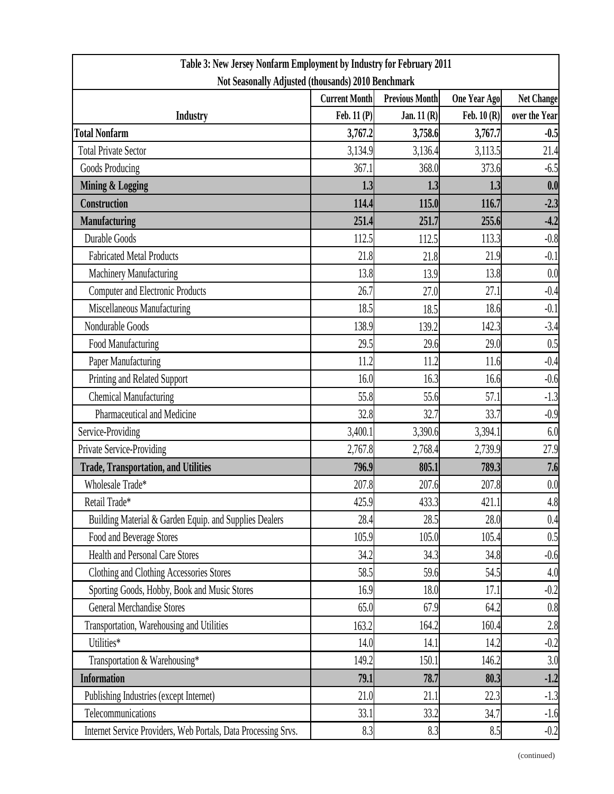| Table 3: New Jersey Nonfarm Employment by Industry for February 2011 |                      |                       |                     |               |  |  |
|----------------------------------------------------------------------|----------------------|-----------------------|---------------------|---------------|--|--|
| Not Seasonally Adjusted (thousands) 2010 Benchmark                   |                      |                       |                     |               |  |  |
|                                                                      | <b>Current Month</b> | <b>Previous Month</b> | <b>One Year Ago</b> | Net Change    |  |  |
| <b>Industry</b>                                                      | Feb. 11 (P)          | Jan. $11(R)$          | Feb. $10(R)$        | over the Year |  |  |
| <b>Total Nonfarm</b>                                                 | 3,767.2              | 3,758.6               | 3,767.7             | $-0.5$        |  |  |
| <b>Total Private Sector</b>                                          | 3,134.9              | 3,136.4               | 3,113.5             | 21.4          |  |  |
| Goods Producing                                                      | 367.1                | 368.0                 | 373.6               | $-6.5$        |  |  |
| Mining & Logging                                                     | 1.3                  | 1.3                   | 1.3                 | 0.0           |  |  |
| Construction                                                         | 114.4                | 115.0                 | 116.7               | $-2.3$        |  |  |
| <b>Manufacturing</b>                                                 | 251.4                | 251.7                 | 255.6               | $-4.2$        |  |  |
| Durable Goods                                                        | 112.5                | 112.5                 | 113.3               | $-0.8$        |  |  |
| <b>Fabricated Metal Products</b>                                     | 21.8                 | 21.8                  | 21.9                | $-0.1$        |  |  |
| Machinery Manufacturing                                              | 13.8                 | 13.9                  | 13.8                | 0.0           |  |  |
| <b>Computer and Electronic Products</b>                              | 26.7                 | 27.0                  | 27.1                | $-0.4$        |  |  |
| Miscellaneous Manufacturing                                          | 18.5                 | 18.5                  | 18.6                | $-0.1$        |  |  |
| Nondurable Goods                                                     | 138.9                | 139.2                 | 142.3               | $-3.4$        |  |  |
| Food Manufacturing                                                   | 29.5                 | 29.6                  | 29.0                | 0.5           |  |  |
| Paper Manufacturing                                                  | 11.2                 | 11.2                  | 11.6                | $-0.4$        |  |  |
| Printing and Related Support                                         | 16.0                 | 16.3                  | 16.6                | $-0.6$        |  |  |
| <b>Chemical Manufacturing</b>                                        | 55.8                 | 55.6                  | 57.1                | $-1.3$        |  |  |
| Pharmaceutical and Medicine                                          | 32.8                 | 32.7                  | 33.7                | $-0.9$        |  |  |
| Service-Providing                                                    | 3,400.1              | 3,390.6               | 3,394.1             | 6.0           |  |  |
| Private Service-Providing                                            | 2,767.8              | 2,768.4               | 2,739.9             | 27.9          |  |  |
| <b>Trade, Transportation, and Utilities</b>                          | 796.9                | 805.1                 | 789.3               | 7.6           |  |  |
| Wholesale Trade*                                                     | 207.8                | 207.6                 | 207.8               | 0.0           |  |  |
| Retail Trade*                                                        | 425.9                | 433.3                 | 421.1               | 4.8           |  |  |
| Building Material & Garden Equip. and Supplies Dealers               | 28.4                 | 28.5                  | 28.0                | 0.4           |  |  |
| Food and Beverage Stores                                             | 105.9                | 105.0                 | 105.4               | 0.5           |  |  |
| <b>Health and Personal Care Stores</b>                               | 34.2                 | 34.3                  | 34.8                | $-0.6$        |  |  |
| Clothing and Clothing Accessories Stores                             | 58.5                 | 59.6                  | 54.5                | 4.0           |  |  |
| Sporting Goods, Hobby, Book and Music Stores                         | 16.9                 | 18.0                  | 17.1                | $-0.2$        |  |  |
| <b>General Merchandise Stores</b>                                    | 65.0                 | 67.9                  | 64.2                | 0.8           |  |  |
| Transportation, Warehousing and Utilities                            | 163.2                | 164.2                 | 160.4               | 2.8           |  |  |
| Utilities*                                                           | 14.0                 | 14.1                  | 14.2                | $-0.2$        |  |  |
| Transportation & Warehousing*                                        | 149.2                | 150.1                 | 146.2               | 3.0           |  |  |
| <b>Information</b>                                                   | 79.1                 | 78.7                  | 80.3                | $-1.2$        |  |  |
| Publishing Industries (except Internet)                              | 21.0                 | 21.1                  | 22.3                | $-1.3$        |  |  |
| Telecommunications                                                   | 33.1                 | 33.2                  | 34.7                | $-1.6$        |  |  |
| Internet Service Providers, Web Portals, Data Processing Srvs.       | 8.3                  | 8.3                   | 8.5                 | $-0.2$        |  |  |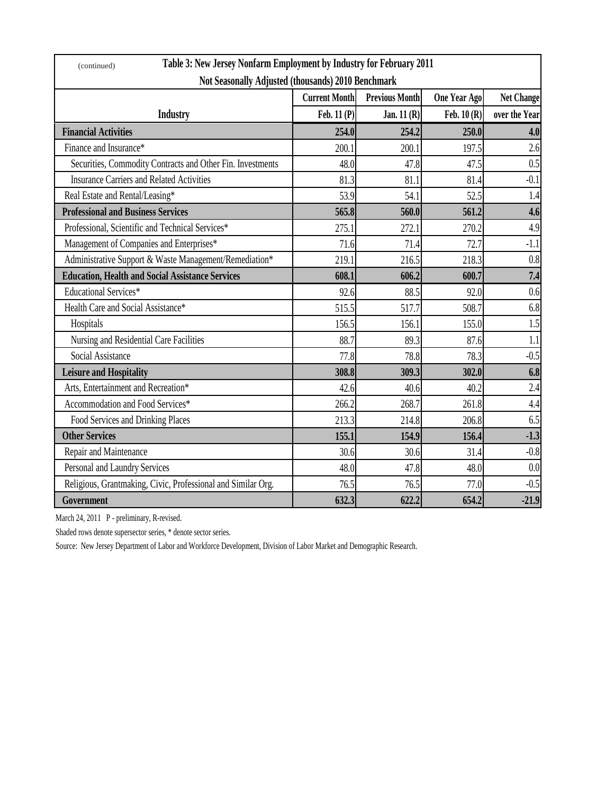| Table 3: New Jersey Nonfarm Employment by Industry for February 2011<br>(continued) |                      |                       |              |                   |  |  |
|-------------------------------------------------------------------------------------|----------------------|-----------------------|--------------|-------------------|--|--|
| Not Seasonally Adjusted (thousands) 2010 Benchmark                                  |                      |                       |              |                   |  |  |
|                                                                                     | <b>Current Month</b> | <b>Previous Month</b> | One Year Ago | <b>Net Change</b> |  |  |
| <b>Industry</b>                                                                     | Feb. 11 (P)          | Jan. $11(R)$          | Feb. $10(R)$ | over the Year     |  |  |
| <b>Financial Activities</b>                                                         | 254.0                | 254.2                 | 250.0        | 4.0               |  |  |
| Finance and Insurance*                                                              | 200.1                | 200.1                 | 197.5        | 2.6               |  |  |
| Securities, Commodity Contracts and Other Fin. Investments                          | 48.0                 | 47.8                  | 47.5         | 0.5               |  |  |
| <b>Insurance Carriers and Related Activities</b>                                    | 81.3                 | 81.1                  | 81.4         | $-0.1$            |  |  |
| Real Estate and Rental/Leasing*                                                     | 53.9                 | 54.1                  | 52.5         | 1.4               |  |  |
| <b>Professional and Business Services</b>                                           | 565.8                | 560.0                 | 561.2        | 4.6               |  |  |
| Professional, Scientific and Technical Services*                                    | 275.1                | 272.1                 | 270.2        | 4.9               |  |  |
| Management of Companies and Enterprises*                                            | 71.6                 | 71.4                  | 72.7         | $-1.1$            |  |  |
| Administrative Support & Waste Management/Remediation*                              | 219.1                | 216.5                 | 218.3        | 0.8               |  |  |
| <b>Education, Health and Social Assistance Services</b>                             | 608.1                | 606.2                 | 600.7        | 7.4               |  |  |
| <b>Educational Services*</b>                                                        | 92.6                 | 88.5                  | 92.0         | 0.6               |  |  |
| Health Care and Social Assistance*                                                  | 515.5                | 517.7                 | 508.7        | 6.8               |  |  |
| Hospitals                                                                           | 156.5                | 156.1                 | 155.0        | 1.5               |  |  |
| Nursing and Residential Care Facilities                                             | 88.7                 | 89.3                  | 87.6         | 1.1               |  |  |
| Social Assistance                                                                   | 77.8                 | 78.8                  | 78.3         | $-0.5$            |  |  |
| <b>Leisure and Hospitality</b>                                                      | 308.8                | 309.3                 | 302.0        | 6.8               |  |  |
| Arts, Entertainment and Recreation*                                                 | 42.6                 | 40.6                  | 40.2         | 2.4               |  |  |
| Accommodation and Food Services*                                                    | 266.2                | 268.7                 | 261.8        | 4.4               |  |  |
| Food Services and Drinking Places                                                   | 213.3                | 214.8                 | 206.8        | 6.5               |  |  |
| <b>Other Services</b>                                                               | 155.1                | 154.9                 | 156.4        | $-1.3$            |  |  |
| Repair and Maintenance                                                              | 30.6                 | 30.6                  | 31.4         | $-0.8$            |  |  |
| Personal and Laundry Services                                                       | 48.0                 | 47.8                  | 48.0         | 0.0               |  |  |
| Religious, Grantmaking, Civic, Professional and Similar Org.                        | 76.5                 | 76.5                  | 77.0         | $-0.5$            |  |  |
| Government                                                                          | 632.3                | 622.2                 | 654.2        | $-21.9$           |  |  |

March 24, 2011 P - preliminary, R-revised.

Shaded rows denote supersector series, \* denote sector series.

Source: New Jersey Department of Labor and Workforce Development, Division of Labor Market and Demographic Research.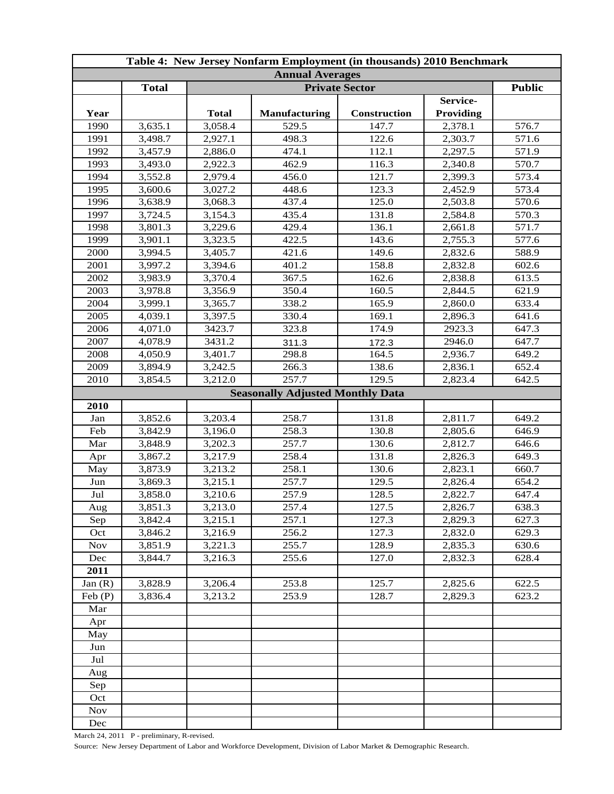| Table 4: New Jersey Nonfarm Employment (in thousands) 2010 Benchmark |              |                       |                                         |                     |           |               |  |
|----------------------------------------------------------------------|--------------|-----------------------|-----------------------------------------|---------------------|-----------|---------------|--|
| <b>Annual Averages</b>                                               |              |                       |                                         |                     |           |               |  |
|                                                                      | <b>Total</b> | <b>Private Sector</b> |                                         |                     |           | <b>Public</b> |  |
|                                                                      |              |                       |                                         |                     | Service-  |               |  |
| Year                                                                 |              | <b>Total</b>          | <b>Manufacturing</b>                    | <b>Construction</b> | Providing |               |  |
| 1990                                                                 | 3,635.1      | 3,058.4               | 529.5                                   | 147.7               | 2,378.1   | 576.7         |  |
| 1991                                                                 | 3,498.7      | 2,927.1               | 498.3                                   | 122.6               | 2,303.7   | 571.6         |  |
| 1992                                                                 | 3,457.9      | 2,886.0               | 474.1                                   | 112.1               | 2,297.5   | 571.9         |  |
| 1993                                                                 | 3,493.0      | 2,922.3               | 462.9                                   | 116.3               | 2,340.8   | 570.7         |  |
| 1994                                                                 | 3,552.8      | 2,979.4               | 456.0                                   | 121.7               | 2,399.3   | 573.4         |  |
| 1995                                                                 | 3,600.6      | 3,027.2               | 448.6                                   | 123.3               | 2,452.9   | 573.4         |  |
| 1996                                                                 | 3,638.9      | 3,068.3               | 437.4                                   | 125.0               | 2,503.8   | 570.6         |  |
| 1997                                                                 | 3,724.5      | 3,154.3               | 435.4                                   | 131.8               | 2,584.8   | 570.3         |  |
| 1998                                                                 | 3,801.3      | 3,229.6               | 429.4                                   | 136.1               | 2,661.8   | 571.7         |  |
| 1999                                                                 | 3,901.1      | 3,323.5               | 422.5                                   | 143.6               | 2,755.3   | 577.6         |  |
| 2000                                                                 | 3,994.5      | 3,405.7               | 421.6                                   | 149.6               | 2,832.6   | 588.9         |  |
| 2001                                                                 | 3,997.2      | 3,394.6               | 401.2                                   | 158.8               | 2,832.8   | 602.6         |  |
| 2002                                                                 | 3,983.9      | 3,370.4               | 367.5                                   | 162.6               | 2,838.8   | 613.5         |  |
| 2003                                                                 | 3,978.8      | 3,356.9               | 350.4                                   | 160.5               | 2,844.5   | 621.9         |  |
| 2004                                                                 | 3,999.1      | 3,365.7               | 338.2                                   | 165.9               | 2,860.0   | 633.4         |  |
| 2005                                                                 | 4,039.1      | 3,397.5               | 330.4                                   | 169.1               | 2,896.3   | 641.6         |  |
| 2006                                                                 | 4,071.0      | 3423.7                | 323.8                                   | 174.9               | 2923.3    | 647.3         |  |
| 2007                                                                 | 4,078.9      | 3431.2                | 311.3                                   | 172.3               | 2946.0    | 647.7         |  |
| 2008                                                                 | 4,050.9      | 3,401.7               | 298.8                                   | 164.5               | 2,936.7   | 649.2         |  |
| 2009                                                                 | 3,894.9      | 3,242.5               | 266.3                                   | 138.6               | 2,836.1   | 652.4         |  |
| 2010                                                                 | 3,854.5      | 3,212.0               | 257.7                                   | 129.5               | 2,823.4   | 642.5         |  |
|                                                                      |              |                       | <b>Seasonally Adjusted Monthly Data</b> |                     |           |               |  |
| 2010                                                                 |              |                       |                                         |                     |           |               |  |
| Jan                                                                  | 3,852.6      | 3,203.4               | 258.7                                   | 131.8               | 2,811.7   | 649.2         |  |
| Feb                                                                  | 3,842.9      | 3,196.0               | 258.3                                   | 130.8               | 2,805.6   | 646.9         |  |
| Mar                                                                  | 3,848.9      | 3,202.3               | 257.7                                   | 130.6               | 2,812.7   | 646.6         |  |
| Apr                                                                  | 3,867.2      | 3,217.9               | 258.4                                   | 131.8               | 2,826.3   | 649.3         |  |
| May                                                                  | 3,873.9      | 3,213.2               | 258.1                                   | 130.6               | 2,823.1   | 660.7         |  |
| Jun                                                                  | 3,869.3      | 3,215.1               | 257.7                                   | 129.5               | 2,826.4   | 654.2         |  |
| $\mathrm{Jul}$                                                       | 3,858.0      | 3,210.6               | 257.9                                   | 128.5               | 2,822.7   | 647.4         |  |
| Aug                                                                  | 3,851.3      | 3,213.0               | 257.4                                   | 127.5               | 2,826.7   | 638.3         |  |
| Sep                                                                  | 3,842.4      | 3,215.1               | 257.1                                   | 127.3               | 2,829.3   | 627.3         |  |
| Oct                                                                  | 3,846.2      | 3,216.9               | 256.2                                   | 127.3               | 2,832.0   | 629.3         |  |
| <b>Nov</b>                                                           | 3,851.9      | 3,221.3               | 255.7                                   | 128.9               | 2,835.3   | 630.6         |  |
| Dec                                                                  | 3,844.7      | 3,216.3               | 255.6                                   | 127.0               | 2,832.3   | 628.4         |  |
| 2011                                                                 |              |                       |                                         |                     |           |               |  |
| Jan $(R)$                                                            | 3,828.9      | 3,206.4               | 253.8                                   | 125.7               | 2,825.6   | 622.5         |  |
| Feb(P)                                                               | 3,836.4      | 3,213.2               | 253.9                                   | 128.7               | 2,829.3   | 623.2         |  |
| Mar                                                                  |              |                       |                                         |                     |           |               |  |
| Apr                                                                  |              |                       |                                         |                     |           |               |  |
| May                                                                  |              |                       |                                         |                     |           |               |  |
| Jun                                                                  |              |                       |                                         |                     |           |               |  |
| Jul                                                                  |              |                       |                                         |                     |           |               |  |
| Aug                                                                  |              |                       |                                         |                     |           |               |  |
| Sep                                                                  |              |                       |                                         |                     |           |               |  |
| Oct                                                                  |              |                       |                                         |                     |           |               |  |
| <b>Nov</b>                                                           |              |                       |                                         |                     |           |               |  |
| Dec                                                                  |              |                       |                                         |                     |           |               |  |
|                                                                      |              |                       |                                         |                     |           |               |  |

March 24, 2011 P - preliminary, R-revised.

Source: New Jersey Department of Labor and Workforce Development, Division of Labor Market & Demographic Research.